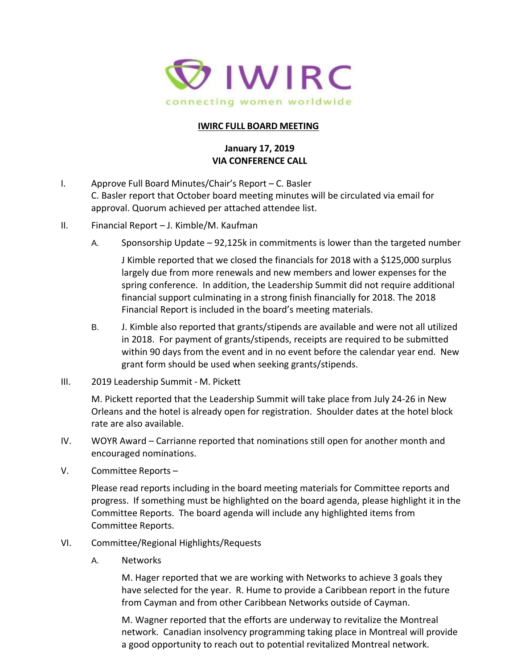

## **IWIRC FULL BOARD MEETING**

## **January 17, 2019 VIA CONFERENCE CALL**

- I. Approve Full Board Minutes/Chair's Report C. Basler C. Basler report that October board meeting minutes will be circulated via email for approval. Quorum achieved per attached attendee list.
- II. Financial Report J. Kimble/M. Kaufman
	- A. Sponsorship Update 92,125k in commitments is lower than the targeted number

J Kimble reported that we closed the financials for 2018 with a \$125,000 surplus largely due from more renewals and new members and lower expenses for the spring conference. In addition, the Leadership Summit did not require additional financial support culminating in a strong finish financially for 2018. The 2018 Financial Report is included in the board's meeting materials.

- B. J. Kimble also reported that grants/stipends are available and were not all utilized in 2018. For payment of grants/stipends, receipts are required to be submitted within 90 days from the event and in no event before the calendar year end. New grant form should be used when seeking grants/stipends.
- III. 2019 Leadership Summit M. Pickett

M. Pickett reported that the Leadership Summit will take place from July 24-26 in New Orleans and the hotel is already open for registration. Shoulder dates at the hotel block rate are also available.

- IV. WOYR Award Carrianne reported that nominations still open for another month and encouraged nominations.
- V. Committee Reports –

Please read reports including in the board meeting materials for Committee reports and progress. If something must be highlighted on the board agenda, please highlight it in the Committee Reports. The board agenda will include any highlighted items from Committee Reports.

- VI. Committee/Regional Highlights/Requests
	- A. Networks

M. Hager reported that we are working with Networks to achieve 3 goals they have selected for the year. R. Hume to provide a Caribbean report in the future from Cayman and from other Caribbean Networks outside of Cayman.

M. Wagner reported that the efforts are underway to revitalize the Montreal network. Canadian insolvency programming taking place in Montreal will provide a good opportunity to reach out to potential revitalized Montreal network.